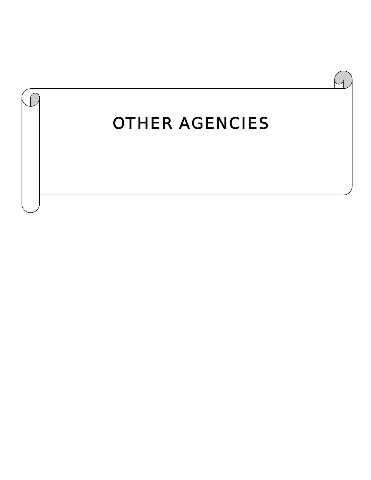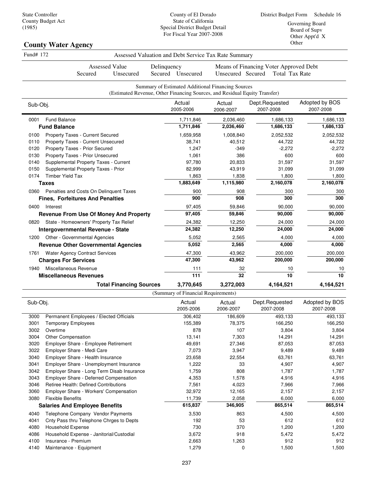County of El Dorado State of California Special District Budget Detail For Fiscal Year 2007-2008

Governing Board Board of Supv Other Appt'd X Other

| Other<br><b>County Water Agency</b>                                                                                             |             |                           |                                                                                                                                 |                                                                 |                             |
|---------------------------------------------------------------------------------------------------------------------------------|-------------|---------------------------|---------------------------------------------------------------------------------------------------------------------------------|-----------------------------------------------------------------|-----------------------------|
| Fund# 172                                                                                                                       |             |                           | Assessed Valuation and Debt Service Tax Rate Summary                                                                            |                                                                 |                             |
| <b>Assessed Value</b><br>Secured<br>Unsecured                                                                                   | Delinquency | Secured Unsecured         | Unsecured Secured                                                                                                               | Means of Financing Voter Approved Debt<br><b>Total Tax Rate</b> |                             |
|                                                                                                                                 |             |                           | Summary of Estimated Additional Financing Sources<br>(Estimated Revenue, Other Financing Sources, and Residual Equity Transfer) |                                                                 |                             |
| Sub-Obj.                                                                                                                        |             | Actual<br>2005-2006       | Actual<br>2006-2007                                                                                                             | Dept.Requested<br>2007-2008                                     | Adopted by BOS<br>2007-2008 |
| <b>Fund Balance</b><br>0001<br><b>Fund Balance</b>                                                                              |             | 1,711,846<br>1,711,846    | 2,036,460<br>2,036,460                                                                                                          | 1,686,133<br>1,686,133                                          | 1,686,133<br>1,686,133      |
| Property Taxes - Current Secured<br>0100<br>Property Taxes - Current Unsecured<br>0110                                          |             | 1,659,958<br>38,741       | 1,008,840<br>40,512                                                                                                             | 2,052,532<br>44,722                                             | 2,052,532<br>44,722         |
| Property Taxes - Prior Secured<br>0120<br>Property Taxes - Prior Unsecured<br>0130                                              |             | 1,247<br>1,061            | $-349$<br>386                                                                                                                   | $-2,272$<br>600                                                 | $-2,272$<br>600             |
| Supplemental Property Taxes - Current<br>0140<br>Supplemental Property Taxes - Prior<br>0150<br><b>Timber Yield Tax</b><br>0174 |             | 97,780<br>82,999<br>1,863 | 20,833<br>43,919<br>1,838                                                                                                       | 31,597<br>31,099<br>1,800                                       | 31,597<br>31,099<br>1,800   |
| <b>Taxes</b><br>Penalties and Costs On Delinquent Taxes<br>0360                                                                 |             | 1,883,649<br>900          | 1,115,980<br>908                                                                                                                | 2,160,078<br>300                                                | 2,160,078<br>300            |
| <b>Fines, Forfeitures And Penalties</b>                                                                                         |             | 900                       | 908                                                                                                                             | 300                                                             | 300                         |
| 0400<br>Interest<br><b>Revenue From Use Of Money And Property</b>                                                               |             | 97,405<br>97,405          | 59,846<br>59,846                                                                                                                | 90,000<br>90,000                                                | 90,000<br>90,000            |
| State - Homeowners' Property Tax Relief<br>0820<br><b>Intergovernmental Revenue - State</b>                                     |             | 24,382<br>24,382          | 12,250<br>12,250                                                                                                                | 24,000<br>24,000                                                | 24,000<br>24,000            |
| 1200 Other - Governmental Agencies<br><b>Revenue Other Governmental Agencies</b>                                                |             | 5,052<br>5,052            | 2,565<br>2,565                                                                                                                  | 4,000<br>4,000                                                  | 4,000<br>4,000              |
| <b>Water Agency Contract Services</b><br>1761<br><b>Charges For Services</b>                                                    |             | 47,300<br>47,300          | 43,962<br>43,962                                                                                                                | 200,000<br>200,000                                              | 200,000<br>200,000          |
| Miscellaneous Revenue<br>1940<br><b>Miscellaneous Revenues</b>                                                                  |             | 111<br>111                | 32<br>32                                                                                                                        | 10<br>10                                                        | 10<br>10                    |
| <b>Total Financing Sources</b>                                                                                                  |             | 3,770,645                 | 3,272,003                                                                                                                       | 4,164,521                                                       | 4,164,521                   |

| Sub-Obj. |                                            | Actual<br>2005-2006 | Actual<br>2006-2007 | Dept.Requested<br>2007-2008 | Adopted by BOS<br>2007-2008 |
|----------|--------------------------------------------|---------------------|---------------------|-----------------------------|-----------------------------|
| 3000     | Permanent Employees / Elected Officials    | 306,402             | 186,609             | 493,133                     | 493,133                     |
| 3001     | <b>Temporary Employees</b>                 | 155,389             | 78,375              | 166,250                     | 166,250                     |
| 3002     | Overtime                                   | 878                 | 107                 | 3,804                       | 3,804                       |
| 3004     | Other Compensation                         | 13,141              | 7,303               | 14,291                      | 14,291                      |
| 3020     | Employer Share - Employee Retirement       | 49,691              | 27,346              | 87,053                      | 87,053                      |
| 3022     | Employer Share - Medi Care                 | 7,073               | 3,947               | 9,489                       | 9,489                       |
| 3040     | Employer Share - Health Insurance          | 23,658              | 22,554              | 63,761                      | 63,761                      |
| 3041     | Employer Share - Unemployment Insurance    | 1,222               | 33                  | 4,907                       | 4,907                       |
| 3042     | Employer Share - Long Term Disab Insurance | 1,759               | 808                 | 1,787                       | 1,787                       |
| 3043     | Employer Share - Deferred Compensation     | 4,353               | 1,578               | 4,916                       | 4,916                       |
| 3046     | Retiree Health: Defined Contributions      | 7,561               | 4,023               | 7,966                       | 7,966                       |
| 3060     | Employer Share - Workers' Compensation     | 32,972              | 12,165              | 2,157                       | 2,157                       |
| 3080     | <b>Flexible Benefits</b>                   | 11,739              | 2,058               | 6,000                       | 6,000                       |
|          | <b>Salaries And Employee Benefits</b>      | 615,837             | 346,905             | 865,514                     | 865,514                     |
| 4040     | Telephone Company Vendor Payments          | 3,530               | 863                 | 4,500                       | 4,500                       |
| 4041     | Cnty Pass thru Telephone Chrges to Depts   | 192                 | 53                  | 612                         | 612                         |
| 4080     | <b>Household Expense</b>                   | 730                 | 370                 | 1,200                       | 1,200                       |
| 4086     | Household Expense - Janitorial/Custodial   | 3,672               | 918                 | 5,472                       | 5,472                       |
| 4100     | Insurance - Premium                        | 2,663               | 1,263               | 912                         | 912                         |
| 4140     | Maintenance - Equipment                    | 1,279               | 0                   | 1,500                       | 1,500                       |